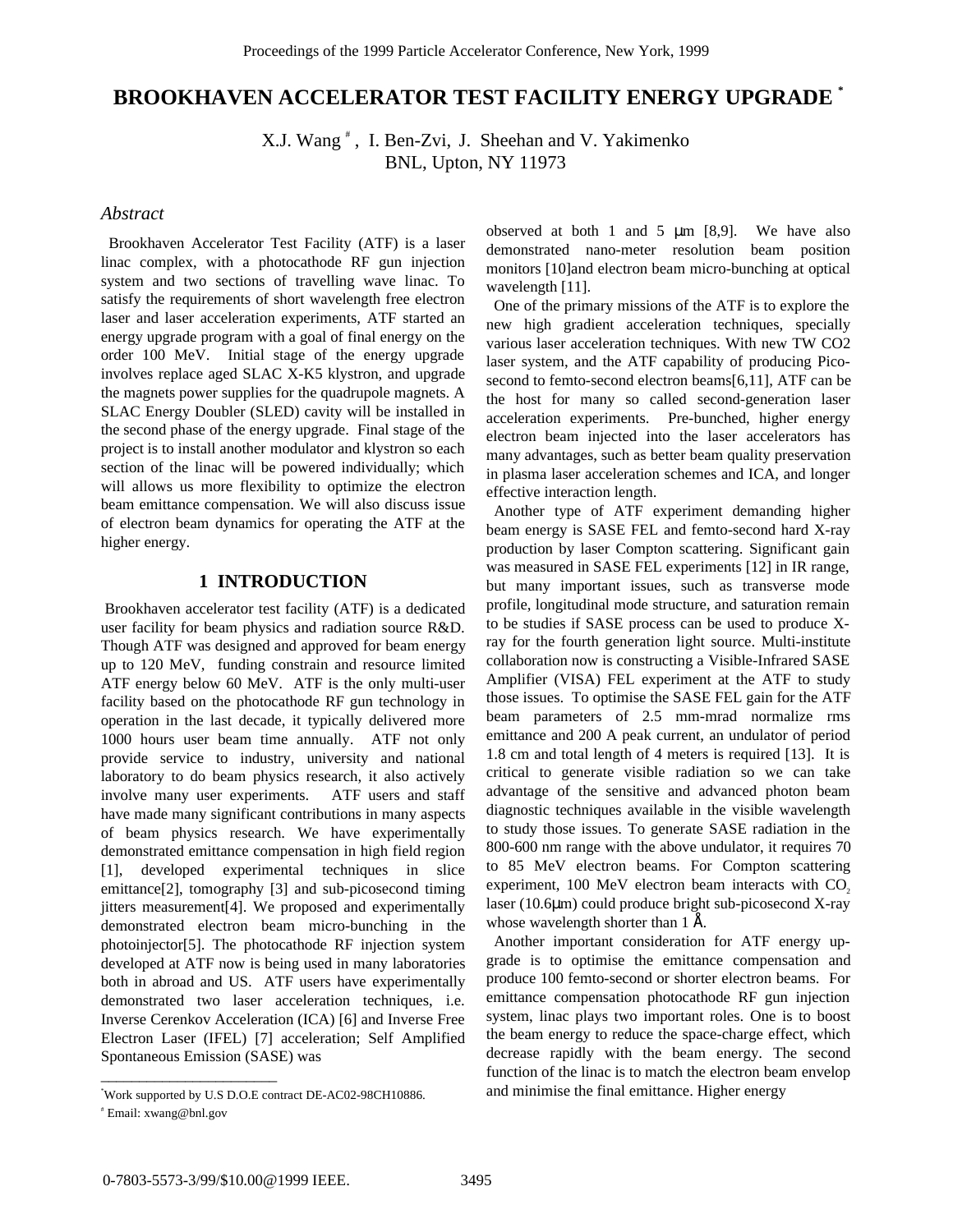# **BROOKHAVEN ACCELERATOR TEST FACILITY ENERGY UPGRADE \***

X.J. Wang # , I. Ben-Zvi, J. Sheehan and V. Yakimenko BNL, Upton, NY 11973

### *Abstract*

 Brookhaven Accelerator Test Facility (ATF) is a laser linac complex, with a photocathode RF gun injection system and two sections of travelling wave linac. To satisfy the requirements of short wavelength free electron laser and laser acceleration experiments, ATF started an energy upgrade program with a goal of final energy on the order 100 MeV. Initial stage of the energy upgrade involves replace aged SLAC X-K5 klystron, and upgrade the magnets power supplies for the quadrupole magnets. A SLAC Energy Doubler (SLED) cavity will be installed in the second phase of the energy upgrade. Final stage of the project is to install another modulator and klystron so each section of the linac will be powered individually; which will allows us more flexibility to optimize the electron beam emittance compensation. We will also discuss issue of electron beam dynamics for operating the ATF at the higher energy.

### **1 INTRODUCTION**

 Brookhaven accelerator test facility (ATF) is a dedicated user facility for beam physics and radiation source R&D. Though ATF was designed and approved for beam energy up to 120 MeV, funding constrain and resource limited ATF energy below 60 MeV. ATF is the only multi-user facility based on the photocathode RF gun technology in operation in the last decade, it typically delivered more 1000 hours user beam time annually. ATF not only provide service to industry, university and national laboratory to do beam physics research, it also actively involve many user experiments. ATF users and staff have made many significant contributions in many aspects of beam physics research. We have experimentally demonstrated emittance compensation in high field region [1], developed experimental techniques in slice emittance[2], tomography [3] and sub-picosecond timing jitters measurement[4]. We proposed and experimentally demonstrated electron beam micro-bunching in the photoinjector[5]. The photocathode RF injection system developed at ATF now is being used in many laboratories both in abroad and US. ATF users have experimentally demonstrated two laser acceleration techniques, i.e. Inverse Cerenkov Acceleration (ICA) [6] and Inverse Free Electron Laser (IFEL) [7] acceleration; Self Amplified Spontaneous Emission (SASE) was

\_\_\_\_\_\_\_\_\_\_\_\_\_\_\_\_\_\_\_\_\_\_\_

observed at both 1 and 5  $\mu$ m [8,9]. We have also demonstrated nano-meter resolution beam position monitors [10]and electron beam micro-bunching at optical wavelength [11].

 One of the primary missions of the ATF is to explore the new high gradient acceleration techniques, specially various laser acceleration techniques. With new TW CO2 laser system, and the ATF capability of producing Picosecond to femto-second electron beams[6,11], ATF can be the host for many so called second-generation laser acceleration experiments. Pre-bunched, higher energy electron beam injected into the laser accelerators has many advantages, such as better beam quality preservation in plasma laser acceleration schemes and ICA, and longer effective interaction length.

 Another type of ATF experiment demanding higher beam energy is SASE FEL and femto-second hard X-ray production by laser Compton scattering. Significant gain was measured in SASE FEL experiments [12] in IR range, but many important issues, such as transverse mode profile, longitudinal mode structure, and saturation remain to be studies if SASE process can be used to produce Xray for the fourth generation light source. Multi-institute collaboration now is constructing a Visible-Infrared SASE Amplifier (VISA) FEL experiment at the ATF to study those issues. To optimise the SASE FEL gain for the ATF beam parameters of 2.5 mm-mrad normalize rms emittance and 200 A peak current, an undulator of period 1.8 cm and total length of 4 meters is required [13]. It is critical to generate visible radiation so we can take advantage of the sensitive and advanced photon beam diagnostic techniques available in the visible wavelength to study those issues. To generate SASE radiation in the 800-600 nm range with the above undulator, it requires 70 to 85 MeV electron beams. For Compton scattering experiment, 100 MeV electron beam interacts with  $CO<sub>2</sub>$ laser (10.6µm) could produce bright sub-picosecond X-ray whose wavelength shorter than  $1 \text{ Å}$ .

 Another important consideration for ATF energy upgrade is to optimise the emittance compensation and produce 100 femto-second or shorter electron beams. For emittance compensation photocathode RF gun injection system, linac plays two important roles. One is to boost the beam energy to reduce the space-charge effect, which decrease rapidly with the beam energy. The second function of the linac is to match the electron beam envelop and minimise the final emittance. Higher energy

<sup>\*</sup> Work supported by U.S D.O.E contract DE-AC02-98CH10886.

<sup>#</sup> Email: xwang@bnl.gov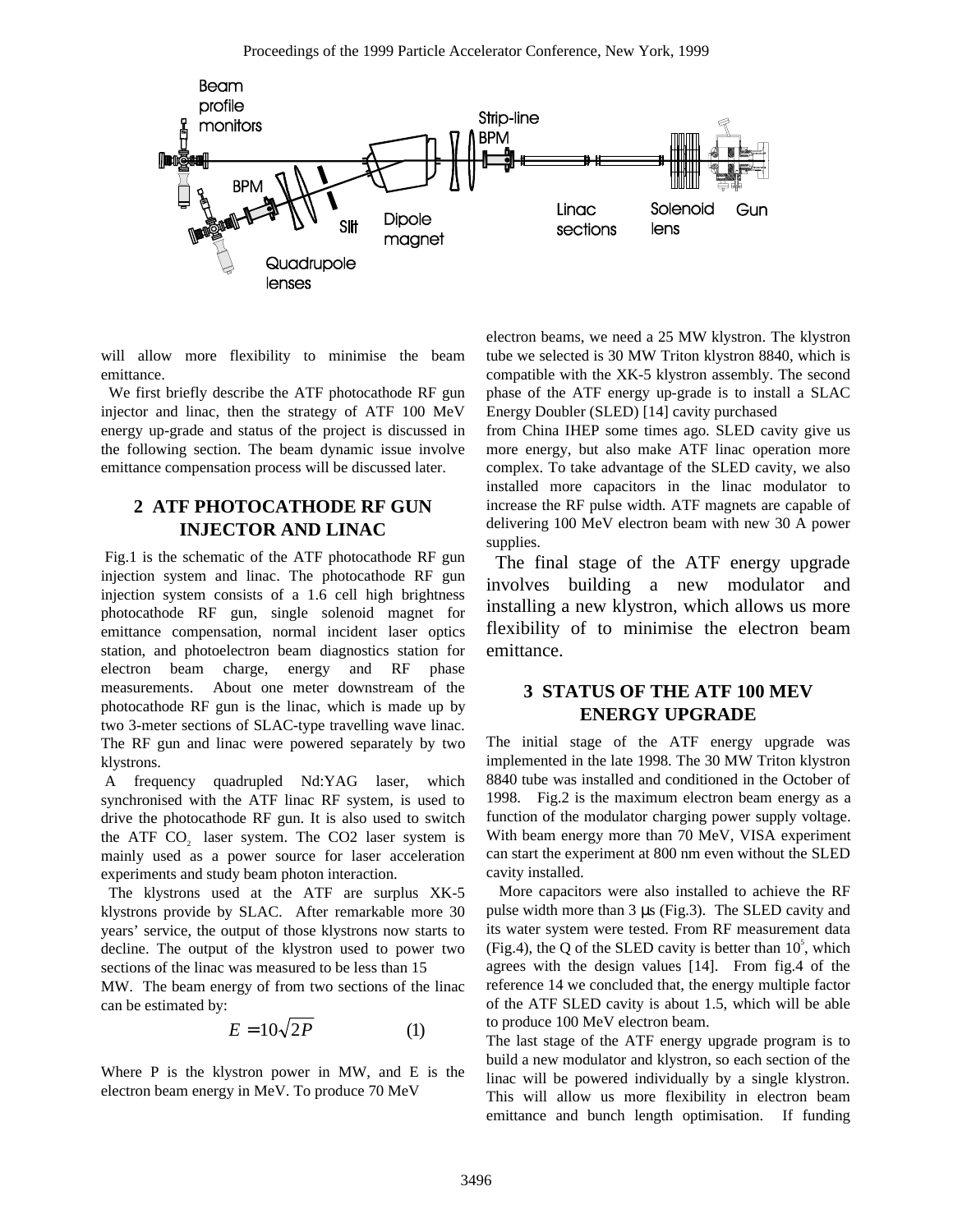

will allow more flexibility to minimise the beam emittance.

 We first briefly describe the ATF photocathode RF gun injector and linac, then the strategy of ATF 100 MeV energy up-grade and status of the project is discussed in the following section. The beam dynamic issue involve emittance compensation process will be discussed later.

## **2 ATF PHOTOCATHODE RF GUN INJECTOR AND LINAC**

 Fig.1 is the schematic of the ATF photocathode RF gun injection system and linac. The photocathode RF gun injection system consists of a 1.6 cell high brightness photocathode RF gun, single solenoid magnet for emittance compensation, normal incident laser optics station, and photoelectron beam diagnostics station for electron beam charge, energy and RF phase measurements. About one meter downstream of the photocathode RF gun is the linac, which is made up by two 3-meter sections of SLAC-type travelling wave linac. The RF gun and linac were powered separately by two klystrons.

 A frequency quadrupled Nd:YAG laser, which synchronised with the ATF linac RF system, is used to drive the photocathode RF gun. It is also used to switch the ATF CO<sub>2</sub> laser system. The CO2 laser system is mainly used as a power source for laser acceleration experiments and study beam photon interaction.

 The klystrons used at the ATF are surplus XK-5 klystrons provide by SLAC. After remarkable more 30 years' service, the output of those klystrons now starts to decline. The output of the klystron used to power two sections of the linac was measured to be less than 15

MW. The beam energy of from two sections of the linac can be estimated by:

$$
E = 10\sqrt{2P} \tag{1}
$$

Where P is the klystron power in MW, and E is the electron beam energy in MeV. To produce 70 MeV

electron beams, we need a 25 MW klystron. The klystron tube we selected is 30 MW Triton klystron 8840, which is compatible with the XK-5 klystron assembly. The second phase of the ATF energy up-grade is to install a SLAC Energy Doubler (SLED) [14] cavity purchased

from China IHEP some times ago. SLED cavity give us more energy, but also make ATF linac operation more complex. To take advantage of the SLED cavity, we also installed more capacitors in the linac modulator to increase the RF pulse width. ATF magnets are capable of delivering 100 MeV electron beam with new 30 A power supplies.

 The final stage of the ATF energy upgrade involves building a new modulator and installing a new klystron, which allows us more flexibility of to minimise the electron beam emittance.

## **3 STATUS OF THE ATF 100 MEV ENERGY UPGRADE**

The initial stage of the ATF energy upgrade was implemented in the late 1998. The 30 MW Triton klystron 8840 tube was installed and conditioned in the October of 1998. Fig.2 is the maximum electron beam energy as a function of the modulator charging power supply voltage. With beam energy more than 70 MeV, VISA experiment can start the experiment at 800 nm even without the SLED cavity installed.

 More capacitors were also installed to achieve the RF pulse width more than 3 µs (Fig.3). The SLED cavity and its water system were tested. From RF measurement data (Fig.4), the Q of the SLED cavity is better than  $10^5$ , which agrees with the design values [14]. From fig.4 of the reference 14 we concluded that, the energy multiple factor of the ATF SLED cavity is about 1.5, which will be able to produce 100 MeV electron beam.

The last stage of the ATF energy upgrade program is to build a new modulator and klystron, so each section of the linac will be powered individually by a single klystron. This will allow us more flexibility in electron beam emittance and bunch length optimisation. If funding